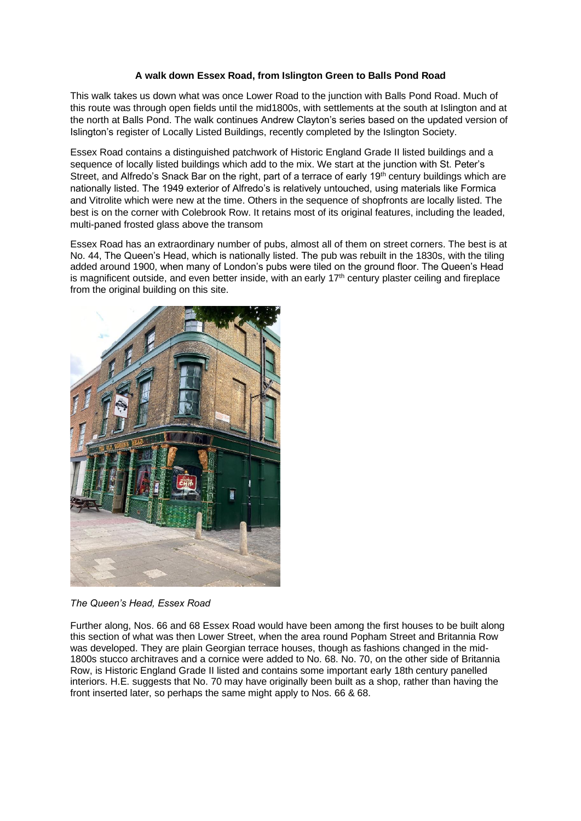## **A walk down Essex Road, from Islington Green to Balls Pond Road**

This walk takes us down what was once Lower Road to the junction with Balls Pond Road. Much of this route was through open fields until the mid1800s, with settlements at the south at Islington and at the north at Balls Pond. The walk continues Andrew Clayton's series based on the updated version of Islington's register of Locally Listed Buildings, recently completed by the Islington Society.

Essex Road contains a distinguished patchwork of Historic England Grade II listed buildings and a sequence of locally listed buildings which add to the mix. We start at the junction with St. Peter's Street, and Alfredo's Snack Bar on the right, part of a terrace of early 19<sup>th</sup> century buildings which are nationally listed. The 1949 exterior of Alfredo's is relatively untouched, using materials like Formica and Vitrolite which were new at the time. Others in the sequence of shopfronts are locally listed. The best is on the corner with Colebrook Row. It retains most of its original features, including the leaded, multi-paned frosted glass above the transom

Essex Road has an extraordinary number of pubs, almost all of them on street corners. The best is at No. 44, The Queen's Head, which is nationally listed. The pub was rebuilt in the 1830s, with the tiling added around 1900, when many of London's pubs were tiled on the ground floor. The Queen's Head is magnificent outside, and even better inside, with an early 17<sup>th</sup> century plaster ceiling and fireplace from the original building on this site.



*The Queen's Head, Essex Road* 

Further along, Nos. 66 and 68 Essex Road would have been among the first houses to be built along this section of what was then Lower Street, when the area round Popham Street and Britannia Row was developed. They are plain Georgian terrace houses, though as fashions changed in the mid-1800s stucco architraves and a cornice were added to No. 68. No. 70, on the other side of Britannia Row, is Historic England Grade II listed and contains some important early 18th century panelled interiors. H.E. suggests that No. 70 may have originally been built as a shop, rather than having the front inserted later, so perhaps the same might apply to Nos. 66 & 68.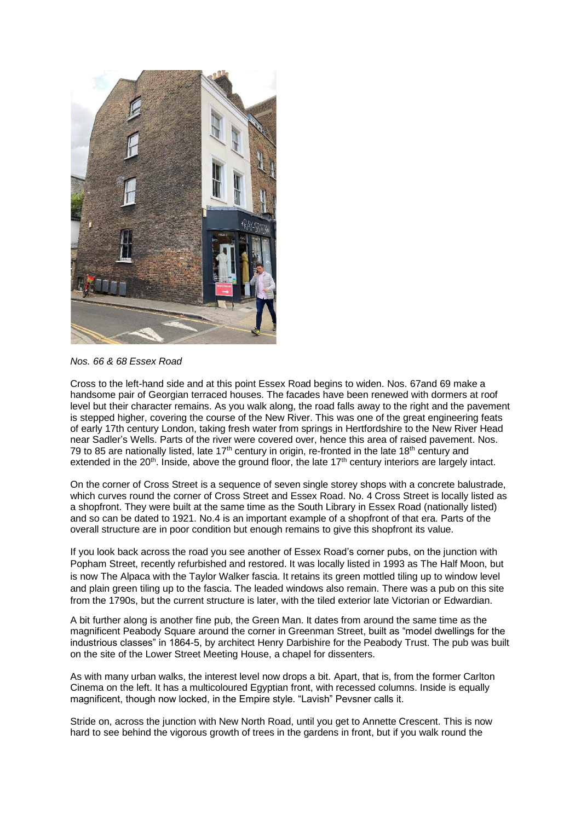

*Nos. 66 & 68 Essex Road* 

Cross to the left-hand side and at this point Essex Road begins to widen. Nos. 67and 69 make a handsome pair of Georgian terraced houses. The facades have been renewed with dormers at roof level but their character remains. As you walk along, the road falls away to the right and the pavement is stepped higher, covering the course of the New River. This was one of the great engineering feats of early 17th century London, taking fresh water from springs in Hertfordshire to the New River Head near Sadler's Wells. Parts of the river were covered over, hence this area of raised pavement. Nos. 79 to 85 are nationally listed, late  $17<sup>th</sup>$  century in origin, re-fronted in the late  $18<sup>th</sup>$  century and extended in the  $20<sup>th</sup>$ . Inside, above the ground floor, the late  $17<sup>th</sup>$  century interiors are largely intact.

On the corner of Cross Street is a sequence of seven single storey shops with a concrete balustrade, which curves round the corner of Cross Street and Essex Road. No. 4 Cross Street is locally listed as a shopfront. They were built at the same time as the South Library in Essex Road (nationally listed) and so can be dated to 1921. No.4 is an important example of a shopfront of that era. Parts of the overall structure are in poor condition but enough remains to give this shopfront its value.

If you look back across the road you see another of Essex Road's corner pubs, on the junction with Popham Street, recently refurbished and restored. It was locally listed in 1993 as The Half Moon, but is now The Alpaca with the Taylor Walker fascia. It retains its green mottled tiling up to window level and plain green tiling up to the fascia. The leaded windows also remain. There was a pub on this site from the 1790s, but the current structure is later, with the tiled exterior late Victorian or Edwardian.

A bit further along is another fine pub, the Green Man. It dates from around the same time as the magnificent Peabody Square around the corner in Greenman Street, built as "model dwellings for the industrious classes" in 1864-5, by architect Henry Darbishire for the Peabody Trust. The pub was built on the site of the Lower Street Meeting House, a chapel for dissenters.

As with many urban walks, the interest level now drops a bit. Apart, that is, from the former Carlton Cinema on the left. It has a multicoloured Egyptian front, with recessed columns. Inside is equally magnificent, though now locked, in the Empire style. "Lavish" Pevsner calls it.

Stride on, across the junction with New North Road, until you get to Annette Crescent. This is now hard to see behind the vigorous growth of trees in the gardens in front, but if you walk round the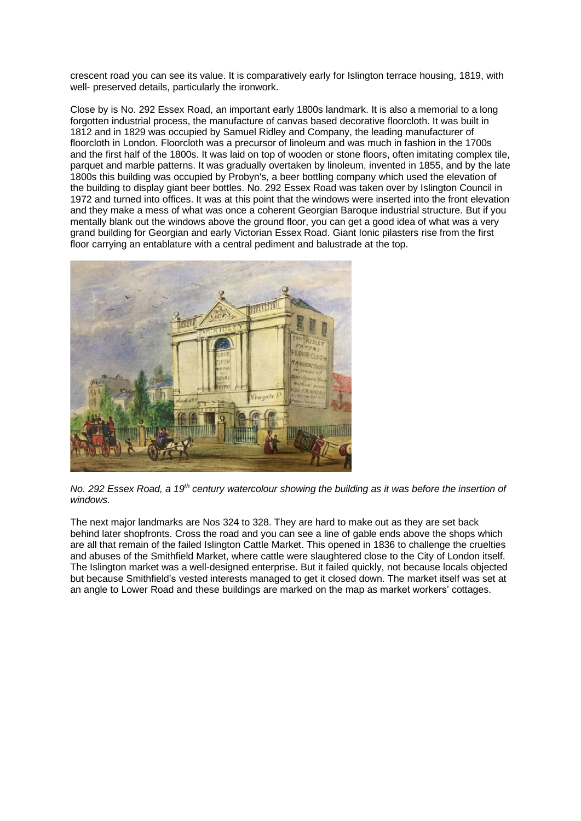crescent road you can see its value. It is comparatively early for Islington terrace housing, 1819, with well- preserved details, particularly the ironwork.

Close by is No. 292 Essex Road, an important early 1800s landmark. It is also a memorial to a long forgotten industrial process, the manufacture of canvas based decorative floorcloth. It was built in 1812 and in 1829 was occupied by Samuel Ridley and Company, the leading manufacturer of floorcloth in London. Floorcloth was a precursor of linoleum and was much in fashion in the 1700s and the first half of the 1800s. It was laid on top of wooden or stone floors, often imitating complex tile, parquet and marble patterns. It was gradually overtaken by linoleum, invented in 1855, and by the late 1800s this building was occupied by Probyn's, a beer bottling company which used the elevation of the building to display giant beer bottles. No. 292 Essex Road was taken over by Islington Council in 1972 and turned into offices. It was at this point that the windows were inserted into the front elevation and they make a mess of what was once a coherent Georgian Baroque industrial structure. But if you mentally blank out the windows above the ground floor, you can get a good idea of what was a very grand building for Georgian and early Victorian Essex Road. Giant Ionic pilasters rise from the first floor carrying an entablature with a central pediment and balustrade at the top.



*No. 292 Essex Road, a 19th century watercolour showing the building as it was before the insertion of windows.* 

The next major landmarks are Nos 324 to 328. They are hard to make out as they are set back behind later shopfronts. Cross the road and you can see a line of gable ends above the shops which are all that remain of the failed Islington Cattle Market. This opened in 1836 to challenge the cruelties and abuses of the Smithfield Market, where cattle were slaughtered close to the City of London itself. The Islington market was a well-designed enterprise. But it failed quickly, not because locals objected but because Smithfield's vested interests managed to get it closed down. The market itself was set at an angle to Lower Road and these buildings are marked on the map as market workers' cottages.